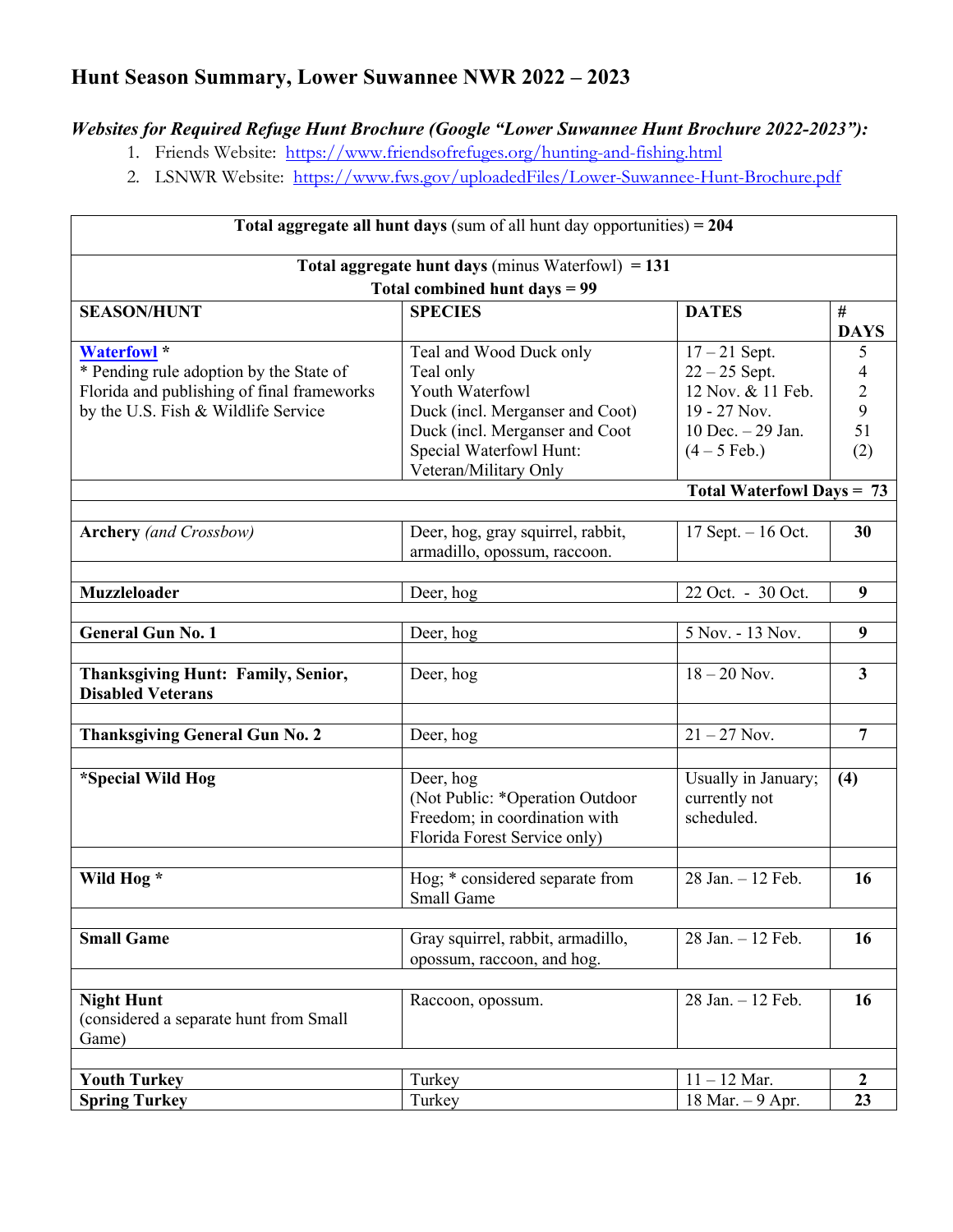## **Hunt Season Summary, Lower Suwannee NWR 2022 – 2023**

## *Websites for Required Refuge Hunt Brochure (Google "Lower Suwannee Hunt Brochure 2022-2023"):*

- 1. Friends Website: https://www.friendsofrefuges.org/hunting-and-fishing.html
- 2. LSNWR Website: https://www.fws.gov/uploadedFiles/Lower-Suwannee-Hunt-Brochure.pdf

| Total aggregate all hunt days (sum of all hunt day opportunities) = 204<br>Total aggregate hunt days (minus Waterfowl) $= 131$<br>Total combined hunt days = 99 |                                   |                     |                         |                    |                         |                 |                  |
|-----------------------------------------------------------------------------------------------------------------------------------------------------------------|-----------------------------------|---------------------|-------------------------|--------------------|-------------------------|-----------------|------------------|
|                                                                                                                                                                 |                                   |                     |                         | <b>SEASON/HUNT</b> | <b>SPECIES</b>          | <b>DATES</b>    | #<br><b>DAYS</b> |
|                                                                                                                                                                 |                                   |                     |                         | <b>Waterfowl</b> * | Teal and Wood Duck only | $17 - 21$ Sept. | 5                |
| * Pending rule adoption by the State of                                                                                                                         | Teal only                         | $22 - 25$ Sept.     | 4                       |                    |                         |                 |                  |
| Florida and publishing of final frameworks                                                                                                                      | Youth Waterfowl                   | 12 Nov. & 11 Feb.   | $\overline{c}$          |                    |                         |                 |                  |
| by the U.S. Fish & Wildlife Service                                                                                                                             | Duck (incl. Merganser and Coot)   | 19 - 27 Nov.        | 9                       |                    |                         |                 |                  |
|                                                                                                                                                                 | Duck (incl. Merganser and Coot    | 10 Dec. $-$ 29 Jan. | 51                      |                    |                         |                 |                  |
|                                                                                                                                                                 | Special Waterfowl Hunt:           | $(4 - 5$ Feb.)      | (2)                     |                    |                         |                 |                  |
|                                                                                                                                                                 | Veteran/Military Only             |                     |                         |                    |                         |                 |                  |
| <b>Total Waterfowl Days = 73</b>                                                                                                                                |                                   |                     |                         |                    |                         |                 |                  |
| <b>Archery</b> (and Crossbow)                                                                                                                                   | Deer, hog, gray squirrel, rabbit, | 17 Sept. $-16$ Oct. | 30                      |                    |                         |                 |                  |
|                                                                                                                                                                 | armadillo, opossum, raccoon.      |                     |                         |                    |                         |                 |                  |
|                                                                                                                                                                 |                                   |                     |                         |                    |                         |                 |                  |
| <b>Muzzleloader</b>                                                                                                                                             | Deer, hog                         | 22 Oct. - 30 Oct.   | 9                       |                    |                         |                 |                  |
|                                                                                                                                                                 |                                   |                     |                         |                    |                         |                 |                  |
| <b>General Gun No. 1</b>                                                                                                                                        | Deer, hog                         | 5 Nov. - 13 Nov.    | 9                       |                    |                         |                 |                  |
|                                                                                                                                                                 |                                   |                     |                         |                    |                         |                 |                  |
| Thanksgiving Hunt: Family, Senior,<br><b>Disabled Veterans</b>                                                                                                  | Deer, hog                         | $18 - 20$ Nov.      | $\overline{\mathbf{3}}$ |                    |                         |                 |                  |
| <b>Thanksgiving General Gun No. 2</b>                                                                                                                           | Deer, hog                         | $21 - 27$ Nov.      | $\overline{7}$          |                    |                         |                 |                  |
|                                                                                                                                                                 |                                   |                     |                         |                    |                         |                 |                  |
| *Special Wild Hog                                                                                                                                               | Deer, hog                         | Usually in January; | (4)                     |                    |                         |                 |                  |
|                                                                                                                                                                 | (Not Public: *Operation Outdoor   | currently not       |                         |                    |                         |                 |                  |
|                                                                                                                                                                 | Freedom; in coordination with     | scheduled.          |                         |                    |                         |                 |                  |
|                                                                                                                                                                 | Florida Forest Service only)      |                     |                         |                    |                         |                 |                  |
|                                                                                                                                                                 |                                   |                     |                         |                    |                         |                 |                  |
| Wild Hog *                                                                                                                                                      | Hog; * considered separate from   | 28 Jan. - 12 Feb.   | 16                      |                    |                         |                 |                  |
|                                                                                                                                                                 | Small Game                        |                     |                         |                    |                         |                 |                  |
|                                                                                                                                                                 |                                   |                     |                         |                    |                         |                 |                  |
| <b>Small Game</b>                                                                                                                                               | Gray squirrel, rabbit, armadillo, | 28 Jan. - 12 Feb.   | 16                      |                    |                         |                 |                  |
|                                                                                                                                                                 | opossum, raccoon, and hog.        |                     |                         |                    |                         |                 |                  |
|                                                                                                                                                                 |                                   |                     |                         |                    |                         |                 |                  |
| <b>Night Hunt</b>                                                                                                                                               | Raccoon, opossum.                 | 28 Jan. - 12 Feb.   | 16                      |                    |                         |                 |                  |
| (considered a separate hunt from Small                                                                                                                          |                                   |                     |                         |                    |                         |                 |                  |
| Game)                                                                                                                                                           |                                   |                     |                         |                    |                         |                 |                  |
|                                                                                                                                                                 |                                   |                     |                         |                    |                         |                 |                  |
| <b>Youth Turkey</b>                                                                                                                                             | Turkey                            | $11 - 12$ Mar.      | $\boldsymbol{2}$        |                    |                         |                 |                  |
| <b>Spring Turkey</b>                                                                                                                                            | Turkey                            | 18 Mar. $-9$ Apr.   | 23                      |                    |                         |                 |                  |